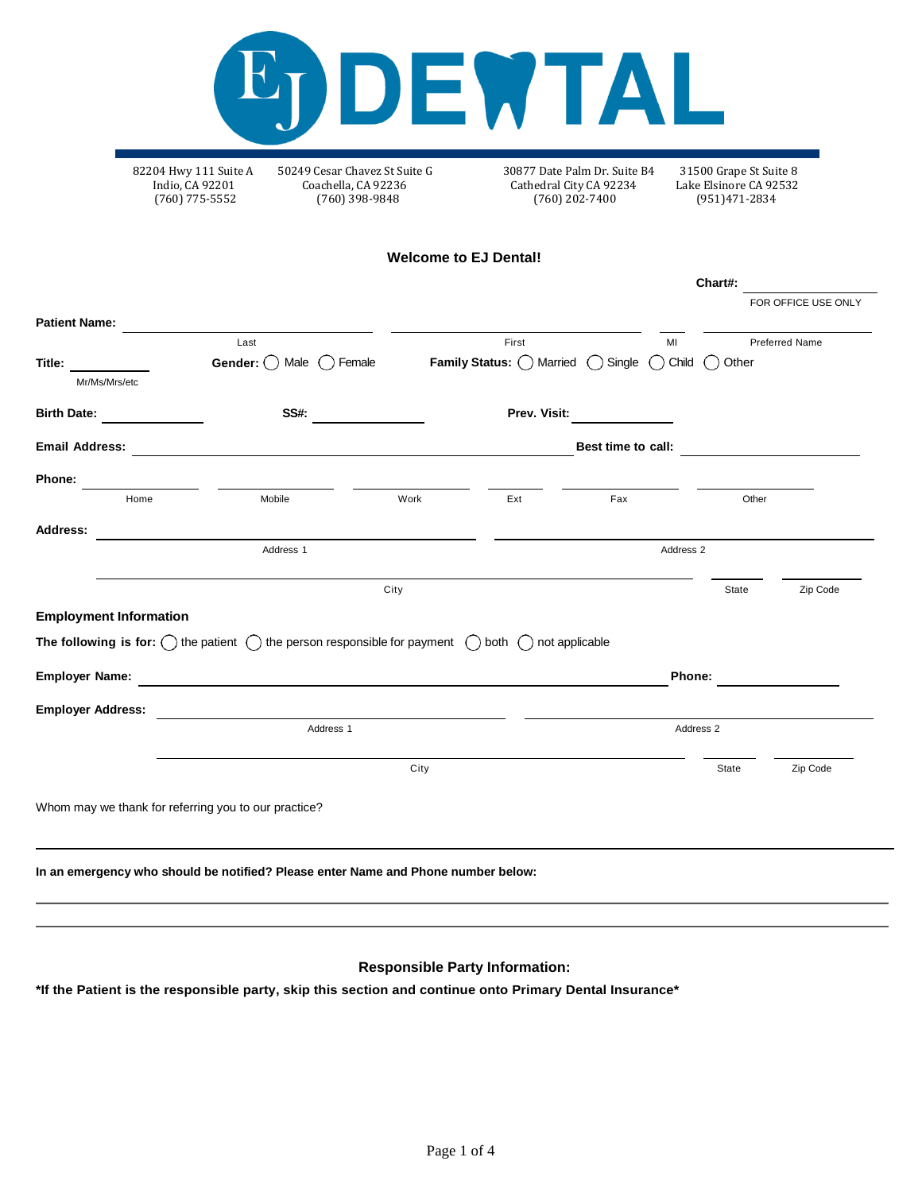

Indio, CA 92201 Coachella, CA 92236 Cathedral City CA 92234 Lake Elsinore CA 92532

82204 Hwy 111 Suite A 50249 Cesar Chavez St Suite G 30877 Date Palm Dr. Suite B4 31500 Grape St Suite 8  $(760)$  202-7400

**Welcome to EJ Dental!**

|                                                                                                                                      |                            |              |              |                                                            | Chart#:                           |                             |
|--------------------------------------------------------------------------------------------------------------------------------------|----------------------------|--------------|--------------|------------------------------------------------------------|-----------------------------------|-----------------------------|
|                                                                                                                                      |                            |              |              |                                                            |                                   | FOR OFFICE USE ONLY         |
|                                                                                                                                      |                            |              |              |                                                            |                                   |                             |
|                                                                                                                                      |                            |              |              |                                                            | <b>Preferred Name</b>             |                             |
| Female<br>Male<br>(                                                                                                                  |                            |              |              | $\left( \quad \right)$                                     |                                   |                             |
|                                                                                                                                      |                            |              |              |                                                            |                                   |                             |
| SS#:                                                                                                                                 |                            | Prev. Visit: |              |                                                            |                                   |                             |
|                                                                                                                                      |                            |              |              |                                                            |                                   |                             |
|                                                                                                                                      |                            |              |              |                                                            |                                   |                             |
| Mobile                                                                                                                               | Work                       |              | Fax          |                                                            |                                   |                             |
|                                                                                                                                      |                            |              |              |                                                            |                                   |                             |
| Address <sub>1</sub>                                                                                                                 |                            |              |              |                                                            |                                   |                             |
|                                                                                                                                      |                            |              |              |                                                            | State                             | Zip Code                    |
| <b>Employment Information</b>                                                                                                        |                            |              |              |                                                            |                                   |                             |
|                                                                                                                                      |                            |              |              |                                                            |                                   |                             |
| The following is for: $\bigcirc$ the patient $\bigcirc$ the person responsible for payment $\bigcirc$ both $\bigcirc$ not applicable |                            |              |              |                                                            |                                   |                             |
|                                                                                                                                      |                            |              |              | Phone:                                                     |                                   |                             |
|                                                                                                                                      |                            |              |              |                                                            |                                   |                             |
| Address 1                                                                                                                            |                            |              |              | Address 2                                                  |                                   |                             |
|                                                                                                                                      | Last<br>Gender: $\bigcirc$ | City         | First<br>Ext | <b>Family Status:</b> $\bigcirc$ Married $\bigcirc$ Single | MI<br>Child<br>Best time to call: | Other<br>Other<br>Address 2 |

**In an emergency who should be notified? Please enter Name and Phone number below:**

## **Responsible Party Information:**

**\*If the Patient is the responsible party, skip this section and continue onto Primary Dental Insurance\***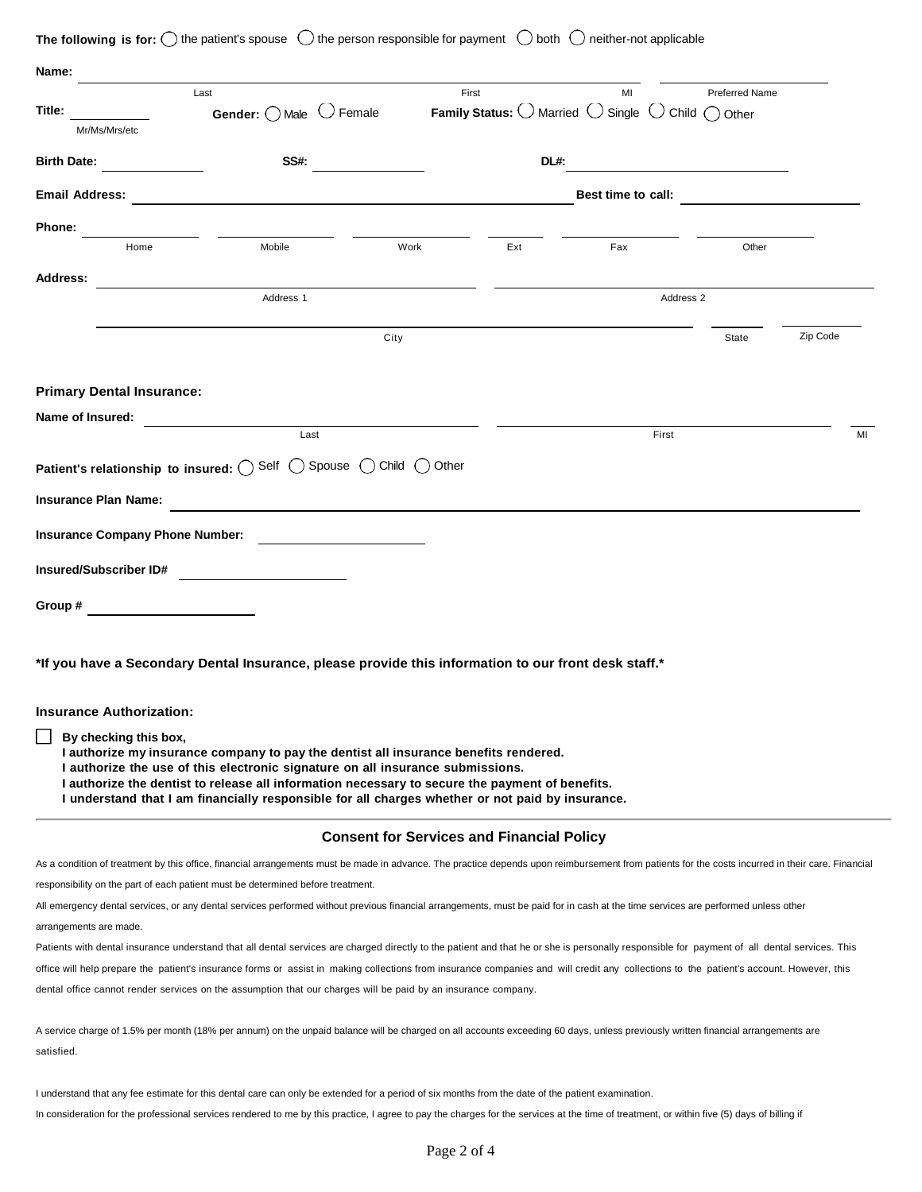| The following is for: |  | the patient's spouse |  | ) the person responsible for payment $\bigcup$ both $\bigcup$ neither-not applicable |  |  |  |
|-----------------------|--|----------------------|--|--------------------------------------------------------------------------------------|--|--|--|
|-----------------------|--|----------------------|--|--------------------------------------------------------------------------------------|--|--|--|

| Name:                                     |                                                                                                                                                                                                   |                                                  |                                                            |                    |                                 |          |
|-------------------------------------------|---------------------------------------------------------------------------------------------------------------------------------------------------------------------------------------------------|--------------------------------------------------|------------------------------------------------------------|--------------------|---------------------------------|----------|
|                                           | Last                                                                                                                                                                                              |                                                  | First                                                      | МΙ                 | <b>Preferred Name</b>           |          |
| Title:                                    | $\bigcup$ Female<br>Gender: $\bigcirc$ Male                                                                                                                                                       |                                                  | <b>Family Status:</b> $\bigcirc$ Married $\bigcirc$ Single |                    | $\bigcup$ Child $\bigcap$ Other |          |
| Mr/Ms/Mrs/etc                             |                                                                                                                                                                                                   |                                                  |                                                            |                    |                                 |          |
| <b>Birth Date:</b>                        | <b>SS#:</b>                                                                                                                                                                                       |                                                  | DL#:                                                       |                    |                                 |          |
| <b>Email Address:</b>                     |                                                                                                                                                                                                   |                                                  |                                                            | Best time to call: |                                 |          |
| Phone:                                    |                                                                                                                                                                                                   |                                                  |                                                            |                    |                                 |          |
| Home                                      | Mobile                                                                                                                                                                                            | Work                                             | Ext                                                        | Fax                | Other                           |          |
| <b>Address:</b>                           |                                                                                                                                                                                                   |                                                  |                                                            |                    |                                 |          |
|                                           | Address 1                                                                                                                                                                                         |                                                  |                                                            | Address 2          |                                 |          |
|                                           |                                                                                                                                                                                                   |                                                  |                                                            |                    |                                 |          |
|                                           |                                                                                                                                                                                                   | City                                             |                                                            |                    | State                           | Zip Code |
|                                           |                                                                                                                                                                                                   |                                                  |                                                            |                    |                                 |          |
|                                           |                                                                                                                                                                                                   |                                                  |                                                            |                    |                                 |          |
| <b>Primary Dental Insurance:</b>          |                                                                                                                                                                                                   |                                                  |                                                            |                    |                                 |          |
| Name of Insured:                          |                                                                                                                                                                                                   |                                                  |                                                            |                    |                                 |          |
|                                           | Last                                                                                                                                                                                              |                                                  |                                                            | First              |                                 | MI       |
| Patient's relationship to insured: O Self |                                                                                                                                                                                                   | () Spouse () Child ()<br>Other                   |                                                            |                    |                                 |          |
|                                           |                                                                                                                                                                                                   |                                                  |                                                            |                    |                                 |          |
| <b>Insurance Plan Name:</b>               |                                                                                                                                                                                                   |                                                  |                                                            |                    |                                 |          |
| <b>Insurance Company Phone Number:</b>    |                                                                                                                                                                                                   |                                                  |                                                            |                    |                                 |          |
|                                           |                                                                                                                                                                                                   |                                                  |                                                            |                    |                                 |          |
| Insured/Subscriber ID#                    |                                                                                                                                                                                                   |                                                  |                                                            |                    |                                 |          |
| Group #                                   |                                                                                                                                                                                                   |                                                  |                                                            |                    |                                 |          |
|                                           |                                                                                                                                                                                                   |                                                  |                                                            |                    |                                 |          |
|                                           |                                                                                                                                                                                                   |                                                  |                                                            |                    |                                 |          |
|                                           | *If you have a Secondary Dental Insurance, please provide this information to our front desk staff.*                                                                                              |                                                  |                                                            |                    |                                 |          |
|                                           |                                                                                                                                                                                                   |                                                  |                                                            |                    |                                 |          |
| <b>Insurance Authorization:</b>           |                                                                                                                                                                                                   |                                                  |                                                            |                    |                                 |          |
| By checking this box,                     |                                                                                                                                                                                                   |                                                  |                                                            |                    |                                 |          |
|                                           | I authorize my insurance company to pay the dentist all insurance benefits rendered.                                                                                                              |                                                  |                                                            |                    |                                 |          |
|                                           | I authorize the use of this electronic signature on all insurance submissions.<br>I authorize the dentist to release all information necessary to secure the payment of benefits.                 |                                                  |                                                            |                    |                                 |          |
|                                           | I understand that I am financially responsible for all charges whether or not paid by insurance.                                                                                                  |                                                  |                                                            |                    |                                 |          |
|                                           |                                                                                                                                                                                                   |                                                  |                                                            |                    |                                 |          |
|                                           |                                                                                                                                                                                                   | <b>Consent for Services and Financial Policy</b> |                                                            |                    |                                 |          |
|                                           | As a condition of treatment by this office, financial arrangements must be made in advance. The practice depends upon reimbursement from patients for the costs incurred in their care. Financial |                                                  |                                                            |                    |                                 |          |
|                                           | responsibility on the part of each patient must be determined before treatment.                                                                                                                   |                                                  |                                                            |                    |                                 |          |
|                                           | All emergency dental services, or any dental services performed without previous financial arrangements, must be paid for in cash at the time services are performed unless other                 |                                                  |                                                            |                    |                                 |          |
| arrangements are made.                    |                                                                                                                                                                                                   |                                                  |                                                            |                    |                                 |          |
|                                           | Patients with dental insurance understand that all dental services are charged directly to the patient and that he or she is personally responsible for payment of all dental services. This      |                                                  |                                                            |                    |                                 |          |
|                                           | office will help prepare the patient's insurance forms or assist in making collections from insurance companies and will credit any collections to the patient's account. However, this           |                                                  |                                                            |                    |                                 |          |
|                                           | dental office cannot render services on the assumption that our charges will be paid by an insurance company.                                                                                     |                                                  |                                                            |                    |                                 |          |
|                                           | A service charge of 1.5% per month (18% per annum) on the unpaid balance will be charged on all accounts exceeding 60 days, unless previously written financial arrangements are                  |                                                  |                                                            |                    |                                 |          |
| satisfied.                                |                                                                                                                                                                                                   |                                                  |                                                            |                    |                                 |          |
|                                           |                                                                                                                                                                                                   |                                                  |                                                            |                    |                                 |          |
|                                           | I understand that any fee estimate for this dental care can only be extended for a period of six months from the date of the patient examination.                                                 |                                                  |                                                            |                    |                                 |          |
|                                           | In consideration for the professional services rendered to me by this practice, I agree to pay the charges for the services at the time of treatment, or within five (5) days of billing if       |                                                  |                                                            |                    |                                 |          |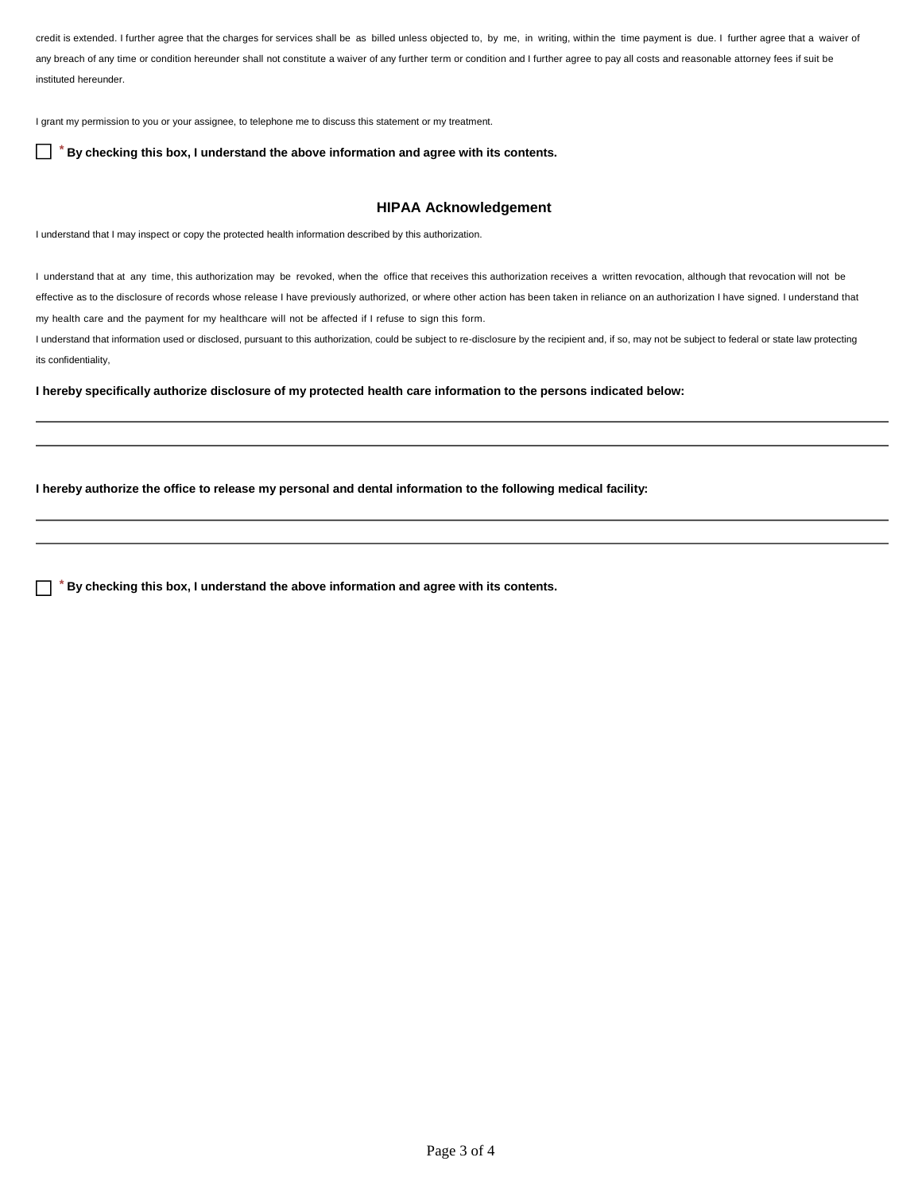credit is extended. I further agree that the charges for services shall be as billed unless objected to, by me, in writing, within the time payment is due. I further agree that a waiver of any breach of any time or condition hereunder shall not constitute a waiver of any further term or condition and I further agree to pay all costs and reasonable attorney fees if suit be instituted hereunder.

I grant my permission to you or your assignee, to telephone me to discuss this statement or my treatment.

 $\Box$ *\** **By checking this box, I understand the above information and agree with its contents.**

## **HIPAA Acknowledgement**

I understand that I may inspect or copy the protected health information described by this authorization.

I understand that at any time, this authorization may be revoked, when the office that receives this authorization receives a written revocation, although that revocation will not be effective as to the disclosure of records whose release I have previously authorized, or where other action has been taken in reliance on an authorization I have signed. I understand that my health care and the payment for my healthcare will not be affected if I refuse to sign this form.

I understand that information used or disclosed, pursuant to this authorization, could be subject to re-disclosure by the recipient and, if so, may not be subject to federal or state law protecting its confidentiality,

**I hereby specifically authorize disclosure of my protected health care information to the persons indicated below:**

**I hereby authorize the office to release my personal and dental information to the following medical facility:**

 $\Box$ *\** **By checking this box, I understand the above information and agree with its contents.**